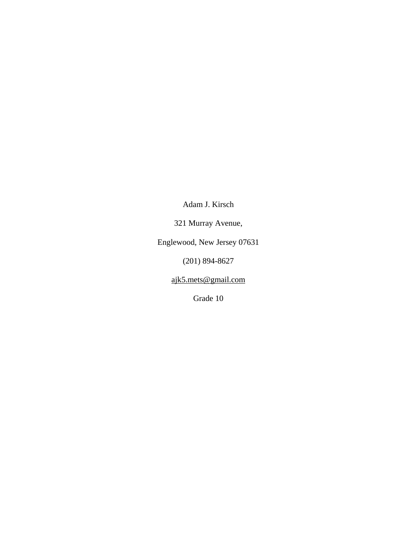Adam J. Kirsch

321 Murray Avenue,

Englewood, New Jersey 07631

(201) 894-8627

ajk5.mets@gmail.com

Grade 10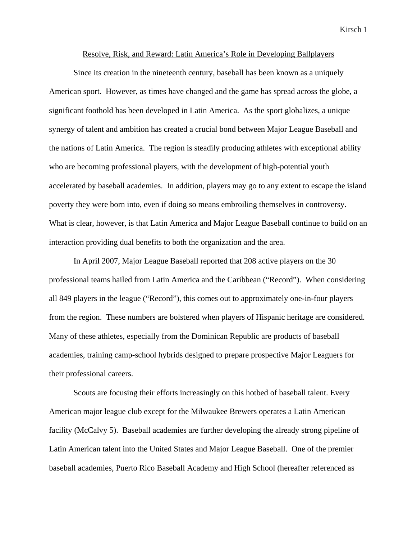## Resolve, Risk, and Reward: Latin America's Role in Developing Ballplayers

 Since its creation in the nineteenth century, baseball has been known as a uniquely American sport. However, as times have changed and the game has spread across the globe, a significant foothold has been developed in Latin America. As the sport globalizes, a unique synergy of talent and ambition has created a crucial bond between Major League Baseball and the nations of Latin America. The region is steadily producing athletes with exceptional ability who are becoming professional players, with the development of high-potential youth accelerated by baseball academies. In addition, players may go to any extent to escape the island poverty they were born into, even if doing so means embroiling themselves in controversy. What is clear, however, is that Latin America and Major League Baseball continue to build on an interaction providing dual benefits to both the organization and the area.

 In April 2007, Major League Baseball reported that 208 active players on the 30 professional teams hailed from Latin America and the Caribbean ("Record"). When considering all 849 players in the league ("Record"), this comes out to approximately one-in-four players from the region. These numbers are bolstered when players of Hispanic heritage are considered. Many of these athletes, especially from the Dominican Republic are products of baseball academies, training camp-school hybrids designed to prepare prospective Major Leaguers for their professional careers.

 Scouts are focusing their efforts increasingly on this hotbed of baseball talent. Every American major league club except for the Milwaukee Brewers operates a Latin American facility (McCalvy 5). Baseball academies are further developing the already strong pipeline of Latin American talent into the United States and Major League Baseball. One of the premier baseball academies, Puerto Rico Baseball Academy and High School (hereafter referenced as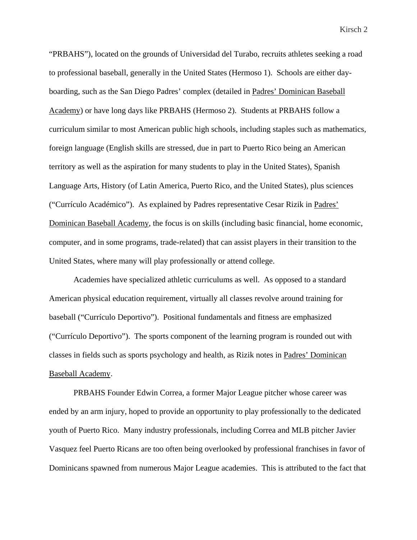"PRBAHS"), located on the grounds of Universidad del Turabo, recruits athletes seeking a road to professional baseball, generally in the United States (Hermoso 1). Schools are either dayboarding, such as the San Diego Padres' complex (detailed in Padres' Dominican Baseball Academy) or have long days like PRBAHS (Hermoso 2). Students at PRBAHS follow a curriculum similar to most American public high schools, including staples such as mathematics, foreign language (English skills are stressed, due in part to Puerto Rico being an American territory as well as the aspiration for many students to play in the United States), Spanish Language Arts, History (of Latin America, Puerto Rico, and the United States), plus sciences ("Currículo Académico"). As explained by Padres representative Cesar Rizik in Padres' Dominican Baseball Academy, the focus is on skills (including basic financial, home economic, computer, and in some programs, trade-related) that can assist players in their transition to the United States, where many will play professionally or attend college.

 Academies have specialized athletic curriculums as well. As opposed to a standard American physical education requirement, virtually all classes revolve around training for baseball ("Currículo Deportivo"). Positional fundamentals and fitness are emphasized ("Currículo Deportivo"). The sports component of the learning program is rounded out with classes in fields such as sports psychology and health, as Rizik notes in Padres' Dominican Baseball Academy.

 PRBAHS Founder Edwin Correa, a former Major League pitcher whose career was ended by an arm injury, hoped to provide an opportunity to play professionally to the dedicated youth of Puerto Rico. Many industry professionals, including Correa and MLB pitcher Javier Vasquez feel Puerto Ricans are too often being overlooked by professional franchises in favor of Dominicans spawned from numerous Major League academies. This is attributed to the fact that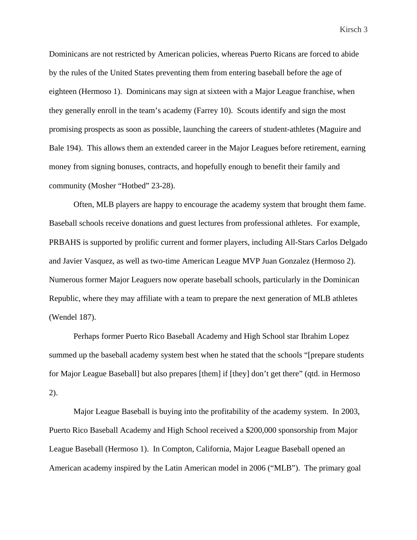Dominicans are not restricted by American policies, whereas Puerto Ricans are forced to abide by the rules of the United States preventing them from entering baseball before the age of eighteen (Hermoso 1). Dominicans may sign at sixteen with a Major League franchise, when they generally enroll in the team's academy (Farrey 10). Scouts identify and sign the most promising prospects as soon as possible, launching the careers of student-athletes (Maguire and Bale 194). This allows them an extended career in the Major Leagues before retirement, earning money from signing bonuses, contracts, and hopefully enough to benefit their family and community (Mosher "Hotbed" 23-28).

 Often, MLB players are happy to encourage the academy system that brought them fame. Baseball schools receive donations and guest lectures from professional athletes. For example, PRBAHS is supported by prolific current and former players, including All-Stars Carlos Delgado and Javier Vasquez, as well as two-time American League MVP Juan Gonzalez (Hermoso 2). Numerous former Major Leaguers now operate baseball schools, particularly in the Dominican Republic, where they may affiliate with a team to prepare the next generation of MLB athletes (Wendel 187).

 Perhaps former Puerto Rico Baseball Academy and High School star Ibrahim Lopez summed up the baseball academy system best when he stated that the schools "[prepare students for Major League Baseball] but also prepares [them] if [they] don't get there" (qtd. in Hermoso 2).

 Major League Baseball is buying into the profitability of the academy system. In 2003, Puerto Rico Baseball Academy and High School received a \$200,000 sponsorship from Major League Baseball (Hermoso 1). In Compton, California, Major League Baseball opened an American academy inspired by the Latin American model in 2006 ("MLB"). The primary goal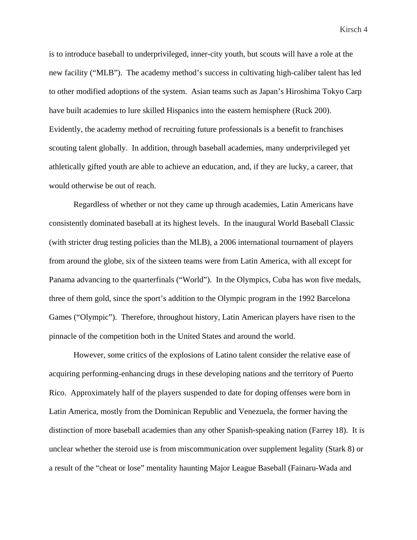is to introduce baseball to underprivileged, inner-city youth, but scouts will have a role at the new facility ("MLB"). The academy method's success in cultivating high-caliber talent has led to other modified adoptions of the system. Asian teams such as Japan's Hiroshima Tokyo Carp have built academies to lure skilled Hispanics into the eastern hemisphere (Ruck 200). Evidently, the academy method of recruiting future professionals is a benefit to franchises scouting talent globally. In addition, through baseball academies, many underprivileged yet athletically gifted youth are able to achieve an education, and, if they are lucky, a career, that would otherwise be out of reach.

 Regardless of whether or not they came up through academies, Latin Americans have consistently dominated baseball at its highest levels. In the inaugural World Baseball Classic (with stricter drug testing policies than the MLB), a 2006 international tournament of players from around the globe, six of the sixteen teams were from Latin America, with all except for Panama advancing to the quarterfinals ("World"). In the Olympics, Cuba has won five medals, three of them gold, since the sport's addition to the Olympic program in the 1992 Barcelona Games ("Olympic"). Therefore, throughout history, Latin American players have risen to the pinnacle of the competition both in the United States and around the world.

 However, some critics of the explosions of Latino talent consider the relative ease of acquiring performing-enhancing drugs in these developing nations and the territory of Puerto Rico. Approximately half of the players suspended to date for doping offenses were born in Latin America, mostly from the Dominican Republic and Venezuela, the former having the distinction of more baseball academies than any other Spanish-speaking nation (Farrey 18). It is unclear whether the steroid use is from miscommunication over supplement legality (Stark 8) or a result of the "cheat or lose" mentality haunting Major League Baseball (Fainaru-Wada and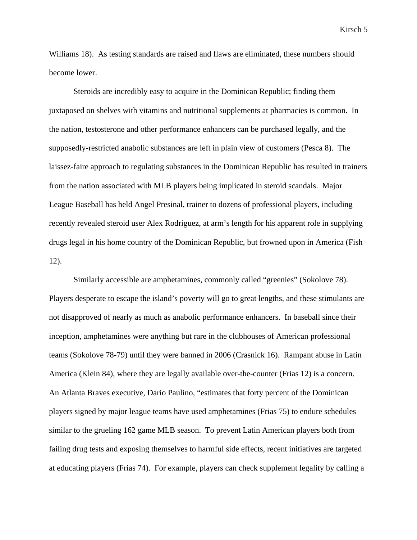Williams 18). As testing standards are raised and flaws are eliminated, these numbers should become lower.

 Steroids are incredibly easy to acquire in the Dominican Republic; finding them juxtaposed on shelves with vitamins and nutritional supplements at pharmacies is common. In the nation, testosterone and other performance enhancers can be purchased legally, and the supposedly-restricted anabolic substances are left in plain view of customers (Pesca 8). The laissez-faire approach to regulating substances in the Dominican Republic has resulted in trainers from the nation associated with MLB players being implicated in steroid scandals. Major League Baseball has held Angel Presinal, trainer to dozens of professional players, including recently revealed steroid user Alex Rodriguez, at arm's length for his apparent role in supplying drugs legal in his home country of the Dominican Republic, but frowned upon in America (Fish 12).

 Similarly accessible are amphetamines, commonly called "greenies" (Sokolove 78). Players desperate to escape the island's poverty will go to great lengths, and these stimulants are not disapproved of nearly as much as anabolic performance enhancers. In baseball since their inception, amphetamines were anything but rare in the clubhouses of American professional teams (Sokolove 78-79) until they were banned in 2006 (Crasnick 16). Rampant abuse in Latin America (Klein 84), where they are legally available over-the-counter (Frias 12) is a concern. An Atlanta Braves executive, Dario Paulino, "estimates that forty percent of the Dominican players signed by major league teams have used amphetamines (Frias 75) to endure schedules similar to the grueling 162 game MLB season. To prevent Latin American players both from failing drug tests and exposing themselves to harmful side effects, recent initiatives are targeted at educating players (Frias 74). For example, players can check supplement legality by calling a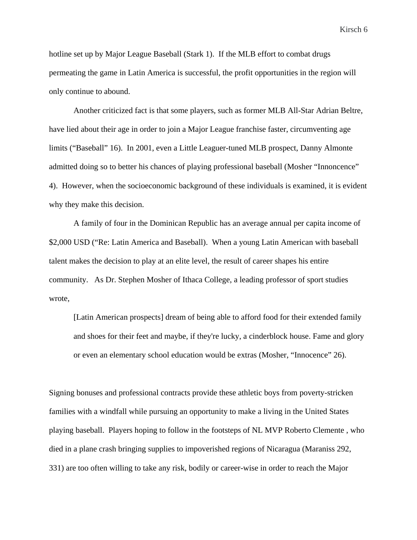hotline set up by Major League Baseball (Stark 1). If the MLB effort to combat drugs permeating the game in Latin America is successful, the profit opportunities in the region will only continue to abound.

 Another criticized fact is that some players, such as former MLB All-Star Adrian Beltre, have lied about their age in order to join a Major League franchise faster, circumventing age limits ("Baseball" 16). In 2001, even a Little Leaguer-tuned MLB prospect, Danny Almonte admitted doing so to better his chances of playing professional baseball (Mosher "Innoncence" 4). However, when the socioeconomic background of these individuals is examined, it is evident why they make this decision.

 A family of four in the Dominican Republic has an average annual per capita income of \$2,000 USD ("Re: Latin America and Baseball). When a young Latin American with baseball talent makes the decision to play at an elite level, the result of career shapes his entire community. As Dr. Stephen Mosher of Ithaca College, a leading professor of sport studies wrote,

 [Latin American prospects] dream of being able to afford food for their extended family and shoes for their feet and maybe, if they're lucky, a cinderblock house. Fame and glory or even an elementary school education would be extras (Mosher, "Innocence" 26).

Signing bonuses and professional contracts provide these athletic boys from poverty-stricken families with a windfall while pursuing an opportunity to make a living in the United States playing baseball. Players hoping to follow in the footsteps of NL MVP Roberto Clemente , who died in a plane crash bringing supplies to impoverished regions of Nicaragua (Maraniss 292, 331) are too often willing to take any risk, bodily or career-wise in order to reach the Major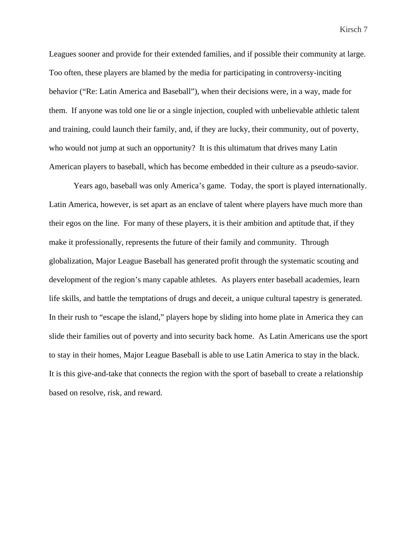Leagues sooner and provide for their extended families, and if possible their community at large. Too often, these players are blamed by the media for participating in controversy-inciting behavior ("Re: Latin America and Baseball"), when their decisions were, in a way, made for them. If anyone was told one lie or a single injection, coupled with unbelievable athletic talent and training, could launch their family, and, if they are lucky, their community, out of poverty, who would not jump at such an opportunity? It is this ultimatum that drives many Latin American players to baseball, which has become embedded in their culture as a pseudo-savior.

Years ago, baseball was only America's game. Today, the sport is played internationally. Latin America, however, is set apart as an enclave of talent where players have much more than their egos on the line. For many of these players, it is their ambition and aptitude that, if they make it professionally, represents the future of their family and community. Through globalization, Major League Baseball has generated profit through the systematic scouting and development of the region's many capable athletes. As players enter baseball academies, learn life skills, and battle the temptations of drugs and deceit, a unique cultural tapestry is generated. In their rush to "escape the island," players hope by sliding into home plate in America they can slide their families out of poverty and into security back home. As Latin Americans use the sport to stay in their homes, Major League Baseball is able to use Latin America to stay in the black. It is this give-and-take that connects the region with the sport of baseball to create a relationship based on resolve, risk, and reward.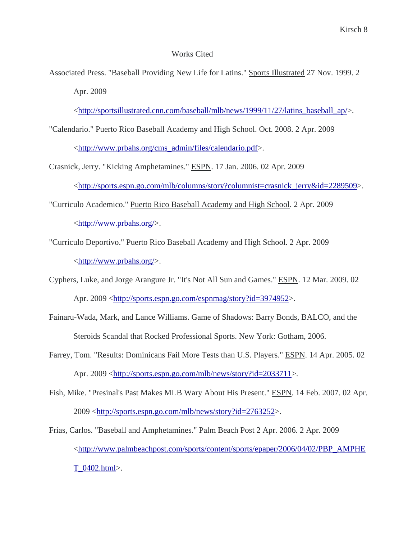## Works Cited

Associated Press. "Baseball Providing New Life for Latins." Sports Illustrated 27 Nov. 1999. 2 Apr. 2009

<http://sportsillustrated.cnn.com/baseball/mlb/news/1999/11/27/latins\_baseball\_ap/>.

- "Calendario." Puerto Rico Baseball Academy and High School. Oct. 2008. 2 Apr. 2009 <http://www.prbahs.org/cms\_admin/files/calendario.pdf>.
- Crasnick, Jerry. "Kicking Amphetamines." ESPN. 17 Jan. 2006. 02 Apr. 2009 <http://sports.espn.go.com/mlb/columns/story?columnist=crasnick\_jerry&id=2289509>.
- "Curriculo Academico." Puerto Rico Baseball Academy and High School. 2 Apr. 2009 <http://www.prbahs.org/>.
- "Curriculo Deportivo." Puerto Rico Baseball Academy and High School. 2 Apr. 2009 <http://www.prbahs.org/>.
- Cyphers, Luke, and Jorge Arangure Jr. "It's Not All Sun and Games." ESPN. 12 Mar. 2009. 02 Apr. 2009 <http://sports.espn.go.com/espnmag/story?id=3974952>.
- Fainaru-Wada, Mark, and Lance Williams. Game of Shadows: Barry Bonds, BALCO, and the Steroids Scandal that Rocked Professional Sports. New York: Gotham, 2006.
- Farrey, Tom. "Results: Dominicans Fail More Tests than U.S. Players." ESPN. 14 Apr. 2005. 02 Apr. 2009 <http://sports.espn.go.com/mlb/news/story?id=2033711>.
- Fish, Mike. "Presinal's Past Makes MLB Wary About His Present." ESPN. 14 Feb. 2007. 02 Apr. 2009 <http://sports.espn.go.com/mlb/news/story?id=2763252>.
- Frias, Carlos. "Baseball and Amphetamines." Palm Beach Post 2 Apr. 2006. 2 Apr. 2009 <http://www.palmbeachpost.com/sports/content/sports/epaper/2006/04/02/PBP\_AMPHE  $T_{0402.html}$ .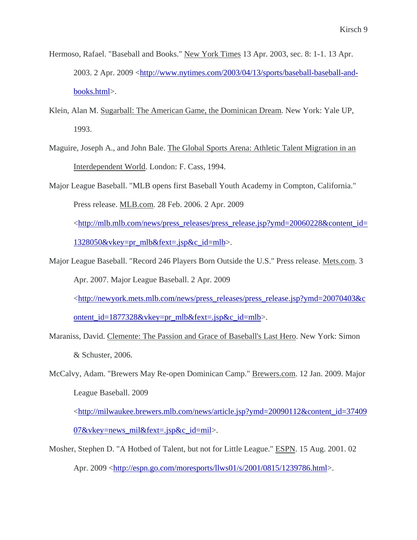- Hermoso, Rafael. "Baseball and Books." New York Times 13 Apr. 2003, sec. 8: 1-1. 13 Apr. 2003. 2 Apr. 2009 <http://www.nytimes.com/2003/04/13/sports/baseball-baseball-andbooks.html>.
- Klein, Alan M. Sugarball: The American Game, the Dominican Dream. New York: Yale UP, 1993.
- Maguire, Joseph A., and John Bale. The Global Sports Arena: Athletic Talent Migration in an Interdependent World. London: F. Cass, 1994.
- Major League Baseball. "MLB opens first Baseball Youth Academy in Compton, California." Press release. MLB.com. 28 Feb. 2006. 2 Apr. 2009

<http://mlb.mlb.com/news/press\_releases/press\_release.jsp?ymd=20060228&content\_id= 1328050&vkey=pr\_mlb&fext=.jsp&c\_id=mlb>.

Major League Baseball. "Record 246 Players Born Outside the U.S." Press release. Mets.com. 3 Apr. 2007. Major League Baseball. 2 Apr. 2009

<http://newyork.mets.mlb.com/news/press\_releases/press\_release.jsp?ymd=20070403&c

ontent id=1877328&vkey=pr\_mlb&fext=.jsp&c\_id=mlb>.

- Maraniss, David. Clemente: The Passion and Grace of Baseball's Last Hero. New York: Simon & Schuster, 2006.
- McCalvy, Adam. "Brewers May Re-open Dominican Camp." Brewers.com. 12 Jan. 2009. Major League Baseball. 2009

<http://milwaukee.brewers.mlb.com/news/article.jsp?ymd=20090112&content\_id=37409 07&vkey=news\_mil&fext=.jsp&c\_id=mil>.

Mosher, Stephen D. "A Hotbed of Talent, but not for Little League." ESPN. 15 Aug. 2001. 02 Apr. 2009 <http://espn.go.com/moresports/llws01/s/2001/0815/1239786.html>.